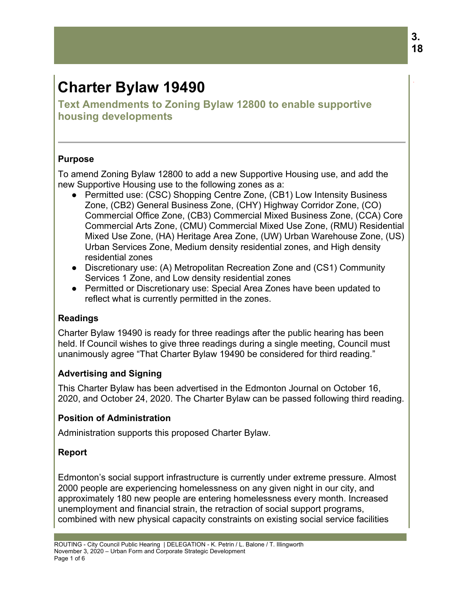# **Charter Bylaw 19490**

**Text Amendments to Zoning Bylaw 12800 to enable supportive housing developments** 

## **Purpose**

To amend Zoning Bylaw 12800 to add a new Supportive Housing use, and add the new Supportive Housing use to the following zones as a:

- Permitted use: (CSC) Shopping Centre Zone, (CB1) Low Intensity Business Zone, (CB2) General Business Zone, (CHY) Highway Corridor Zone, (CO) Commercial Office Zone, (CB3) Commercial Mixed Business Zone, (CCA) Core Commercial Arts Zone, (CMU) Commercial Mixed Use Zone, (RMU) Residential Mixed Use Zone, (HA) Heritage Area Zone, (UW) Urban Warehouse Zone, (US) Urban Services Zone, Medium density residential zones, and High density residential zones
- Discretionary use: (A) Metropolitan Recreation Zone and (CS1) Community Services 1 Zone, and Low density residential zones
- Permitted or Discretionary use: Special Area Zones have been updated to reflect what is currently permitted in the zones.

## **Readings**

Charter Bylaw 19490 is ready for three readings after the public hearing has been held. If Council wishes to give three readings during a single meeting, Council must unanimously agree "That Charter Bylaw 19490 be considered for third reading."

## **Advertising and Signing**

This Charter Bylaw has been advertised in the Edmonton Journal on October 16, 2020, and October 24, 2020. The Charter Bylaw can be passed following third reading.

## **Position of Administration**

Administration supports this proposed Charter Bylaw.

## **Report**

Edmonton's social support infrastructure is currently under extreme pressure. Almost 2000 people are experiencing homelessness on any given night in our city, and approximately 180 new people are entering homelessness every month. Increased unemployment and financial strain, the retraction of social support programs, combined with new physical capacity constraints on existing social service facilities

.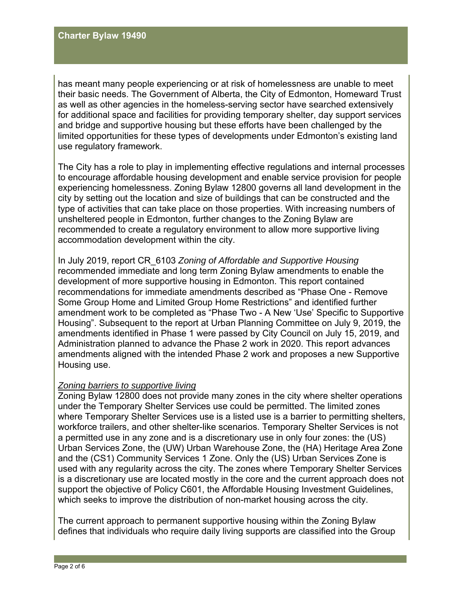has meant many people experiencing or at risk of homelessness are unable to meet their basic needs. The Government of Alberta, the City of Edmonton, Homeward Trust as well as other agencies in the homeless-serving sector have searched extensively for additional space and facilities for providing temporary shelter, day support services and bridge and supportive housing but these efforts have been challenged by the limited opportunities for these types of developments under Edmonton's existing land use regulatory framework.

The City has a role to play in implementing effective regulations and internal processes to encourage affordable housing development and enable service provision for people experiencing homelessness. Zoning Bylaw 12800 governs all land development in the city by setting out the location and size of buildings that can be constructed and the type of activities that can take place on those properties. With increasing numbers of unsheltered people in Edmonton, further changes to the Zoning Bylaw are recommended to create a regulatory environment to allow more supportive living accommodation development within the city.

In July 2019, report CR\_6103 *Zoning of Affordable and Supportive Housing* recommended immediate and long term Zoning Bylaw amendments to enable the development of more supportive housing in Edmonton. This report contained recommendations for immediate amendments described as "Phase One - Remove Some Group Home and Limited Group Home Restrictions" and identified further amendment work to be completed as "Phase Two - A New 'Use' Specific to Supportive Housing". Subsequent to the report at Urban Planning Committee on July 9, 2019, the amendments identified in Phase 1 were passed by City Council on July 15, 2019, and Administration planned to advance the Phase 2 work in 2020. This report advances amendments aligned with the intended Phase 2 work and proposes a new Supportive Housing use.

#### *Zoning barriers to supportive living*

Zoning Bylaw 12800 does not provide many zones in the city where shelter operations under the Temporary Shelter Services use could be permitted. The limited zones where Temporary Shelter Services use is a listed use is a barrier to permitting shelters, workforce trailers, and other shelter-like scenarios. Temporary Shelter Services is not a permitted use in any zone and is a discretionary use in only four zones: the (US) Urban Services Zone, the (UW) Urban Warehouse Zone, the (HA) Heritage Area Zone and the (CS1) Community Services 1 Zone. Only the (US) Urban Services Zone is used with any regularity across the city. The zones where Temporary Shelter Services is a discretionary use are located mostly in the core and the current approach does not support the objective of Policy C601, the Affordable Housing Investment Guidelines, which seeks to improve the distribution of non-market housing across the city.

The current approach to permanent supportive housing within the Zoning Bylaw defines that individuals who require daily living supports are classified into the Group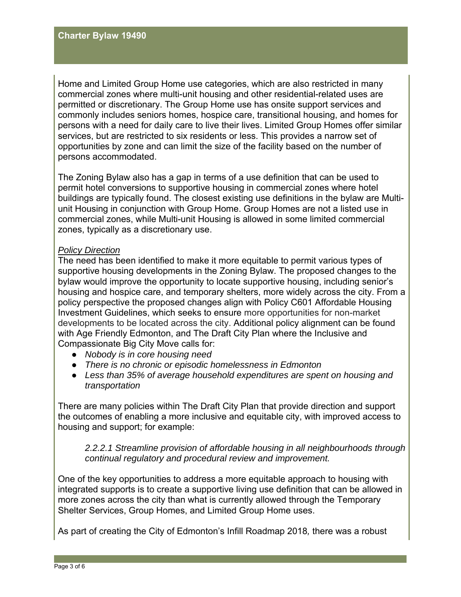Home and Limited Group Home use categories, which are also restricted in many commercial zones where multi-unit housing and other residential-related uses are permitted or discretionary. The Group Home use has onsite support services and commonly includes seniors homes, hospice care, transitional housing, and homes for persons with a need for daily care to live their lives. Limited Group Homes offer similar services, but are restricted to six residents or less. This provides a narrow set of opportunities by zone and can limit the size of the facility based on the number of persons accommodated.

The Zoning Bylaw also has a gap in terms of a use definition that can be used to permit hotel conversions to supportive housing in commercial zones where hotel buildings are typically found. The closest existing use definitions in the bylaw are Multiunit Housing in conjunction with Group Home. Group Homes are not a listed use in commercial zones, while Multi-unit Housing is allowed in some limited commercial zones, typically as a discretionary use.

#### *Policy Direction*

The need has been identified to make it more equitable to permit various types of supportive housing developments in the Zoning Bylaw. The proposed changes to the bylaw would improve the opportunity to locate supportive housing, including senior's housing and hospice care, and temporary shelters, more widely across the city. From a policy perspective the proposed changes align with Policy C601 Affordable Housing Investment Guidelines, which seeks to ensure more opportunities for non-market developments to be located across the city. Additional policy alignment can be found with Age Friendly Edmonton, and The Draft City Plan where the Inclusive and Compassionate Big City Move calls for:

- *Nobody is in core housing need*
- *There is no chronic or episodic homelessness in Edmonton*
- *Less than 35% of average household expenditures are spent on housing and transportation*

There are many policies within The Draft City Plan that provide direction and support the outcomes of enabling a more inclusive and equitable city, with improved access to housing and support; for example:

*2.2.2.1 Streamline provision of affordable housing in all neighbourhoods through continual regulatory and procedural review and improvement.* 

One of the key opportunities to address a more equitable approach to housing with integrated supports is to create a supportive living use definition that can be allowed in more zones across the city than what is currently allowed through the Temporary Shelter Services, Group Homes, and Limited Group Home uses.

As part of creating the City of Edmonton's Infill Roadmap 2018*,* there was a robust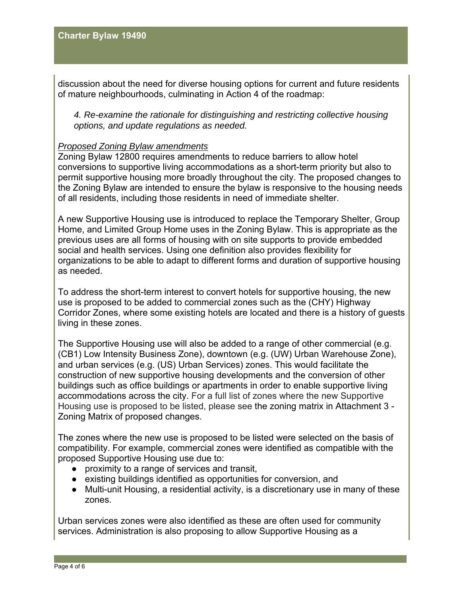discussion about the need for diverse housing options for current and future residents of mature neighbourhoods, culminating in Action 4 of the roadmap:

*4. Re-examine the rationale for distinguishing and restricting collective housing options, and update regulations as needed.*

#### *Proposed Zoning Bylaw amendments*

Zoning Bylaw 12800 requires amendments to reduce barriers to allow hotel conversions to supportive living accommodations as a short-term priority but also to permit supportive housing more broadly throughout the city. The proposed changes to the Zoning Bylaw are intended to ensure the bylaw is responsive to the housing needs of all residents, including those residents in need of immediate shelter.

A new Supportive Housing use is introduced to replace the Temporary Shelter, Group Home, and Limited Group Home uses in the Zoning Bylaw. This is appropriate as the previous uses are all forms of housing with on site supports to provide embedded social and health services. Using one definition also provides flexibility for organizations to be able to adapt to different forms and duration of supportive housing as needed.

To address the short-term interest to convert hotels for supportive housing, the new use is proposed to be added to commercial zones such as the (CHY) Highway Corridor Zones, where some existing hotels are located and there is a history of guests living in these zones.

The Supportive Housing use will also be added to a range of other commercial (e.g. (CB1) Low Intensity Business Zone), downtown (e.g. (UW) Urban Warehouse Zone), and urban services (e.g. (US) Urban Services) zones. This would facilitate the construction of new supportive housing developments and the conversion of other buildings such as office buildings or apartments in order to enable supportive living accommodations across the city. For a full list of zones where the new Supportive Housing use is proposed to be listed, please see the zoning matrix in Attachment 3 - Zoning Matrix of proposed changes.

The zones where the new use is proposed to be listed were selected on the basis of compatibility. For example, commercial zones were identified as compatible with the proposed Supportive Housing use due to:

- proximity to a range of services and transit,
- existing buildings identified as opportunities for conversion, and
- Multi-unit Housing, a residential activity, is a discretionary use in many of these zones.

Urban services zones were also identified as these are often used for community services. Administration is also proposing to allow Supportive Housing as a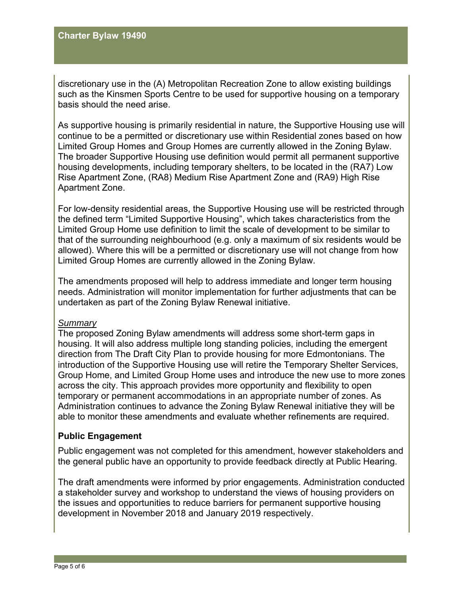discretionary use in the (A) Metropolitan Recreation Zone to allow existing buildings such as the Kinsmen Sports Centre to be used for supportive housing on a temporary basis should the need arise.

As supportive housing is primarily residential in nature, the Supportive Housing use will continue to be a permitted or discretionary use within Residential zones based on how Limited Group Homes and Group Homes are currently allowed in the Zoning Bylaw. The broader Supportive Housing use definition would permit all permanent supportive housing developments, including temporary shelters, to be located in the (RA7) Low Rise Apartment Zone, (RA8) Medium Rise Apartment Zone and (RA9) High Rise Apartment Zone.

For low-density residential areas, the Supportive Housing use will be restricted through the defined term "Limited Supportive Housing", which takes characteristics from the Limited Group Home use definition to limit the scale of development to be similar to that of the surrounding neighbourhood (e.g. only a maximum of six residents would be allowed). Where this will be a permitted or discretionary use will not change from how Limited Group Homes are currently allowed in the Zoning Bylaw.

The amendments proposed will help to address immediate and longer term housing needs. Administration will monitor implementation for further adjustments that can be undertaken as part of the Zoning Bylaw Renewal initiative.

#### *Summary*

The proposed Zoning Bylaw amendments will address some short-term gaps in housing. It will also address multiple long standing policies, including the emergent direction from The Draft City Plan to provide housing for more Edmontonians. The introduction of the Supportive Housing use will retire the Temporary Shelter Services, Group Home, and Limited Group Home uses and introduce the new use to more zones across the city. This approach provides more opportunity and flexibility to open temporary or permanent accommodations in an appropriate number of zones. As Administration continues to advance the Zoning Bylaw Renewal initiative they will be able to monitor these amendments and evaluate whether refinements are required.

#### **Public Engagement**

Public engagement was not completed for this amendment, however stakeholders and the general public have an opportunity to provide feedback directly at Public Hearing.

The draft amendments were informed by prior engagements. Administration conducted a stakeholder survey and workshop to understand the views of housing providers on the issues and opportunities to reduce barriers for permanent supportive housing development in November 2018 and January 2019 respectively.